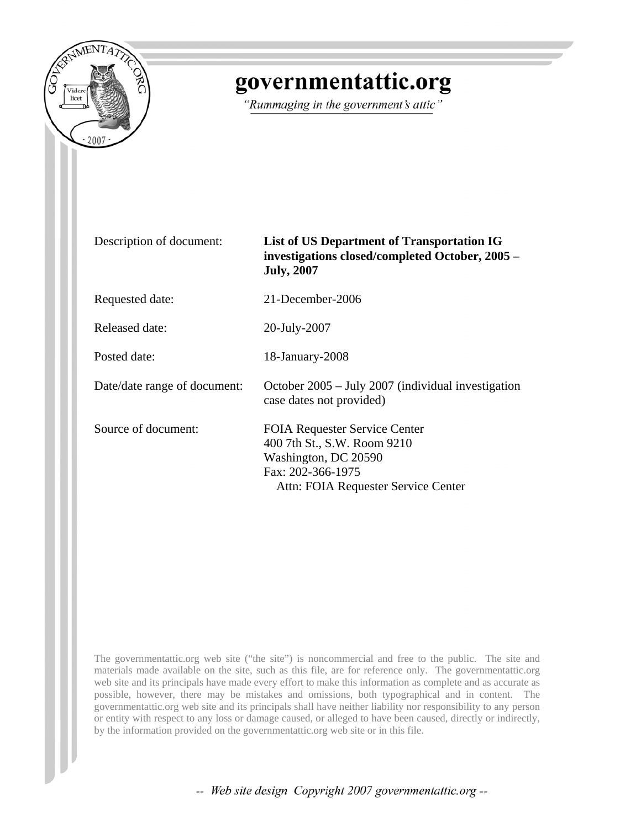

### governmentattic.org

"Rummaging in the government's attic"

| Description of document:     | <b>List of US Department of Transportation IG</b><br>investigations closed/completed October, 2005 -<br><b>July, 2007</b>                               |
|------------------------------|---------------------------------------------------------------------------------------------------------------------------------------------------------|
| Requested date:              | 21-December-2006                                                                                                                                        |
| Released date:               | 20-July-2007                                                                                                                                            |
| Posted date:                 | 18-January-2008                                                                                                                                         |
| Date/date range of document: | October $2005 - \text{July } 2007$ (individual investigation<br>case dates not provided)                                                                |
| Source of document:          | <b>FOIA Requester Service Center</b><br>400 7th St., S.W. Room 9210<br>Washington, DC 20590<br>Fax: 202-366-1975<br>Attn: FOIA Requester Service Center |

The governmentattic.org web site ("the site") is noncommercial and free to the public. The site and materials made available on the site, such as this file, are for reference only. The governmentattic.org web site and its principals have made every effort to make this information as complete and as accurate as possible, however, there may be mistakes and omissions, both typographical and in content. The governmentattic.org web site and its principals shall have neither liability nor responsibility to any person or entity with respect to any loss or damage caused, or alleged to have been caused, directly or indirectly, by the information provided on the governmentattic.org web site or in this file.

-- Web site design Copyright 2007 governmentattic.org --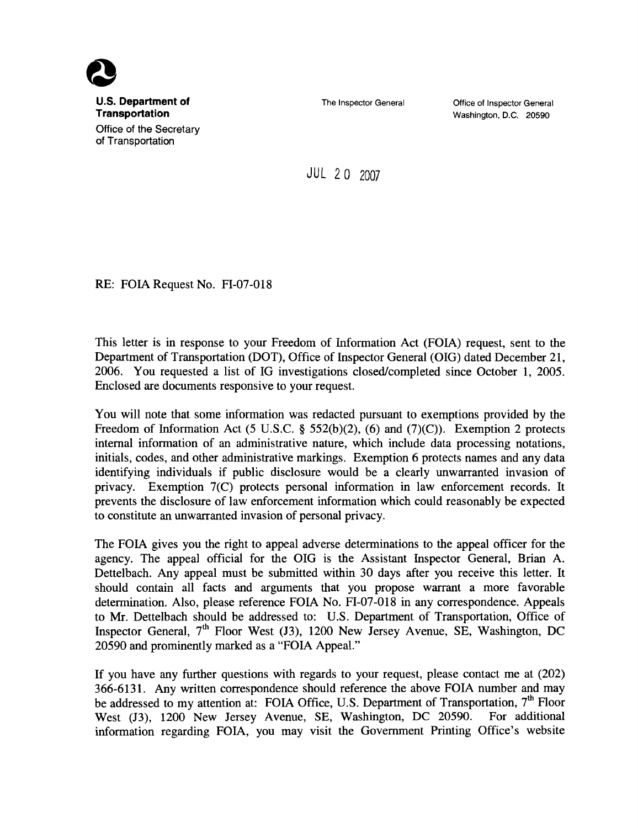

The Inspector General

Office of Inspector General Washington, D.C. 20590

JUL 20 <sup>2007</sup>

RE: FOIA Request No. FI-07-018

This letter is in response to your Freedom of Information Act (FOIA) request, sent to the Department of Transportation (DOT), Office of Inspector General (OIG) dated December 21, 2006. You requested a list of IG investigations closed/completed since October 1, 2005. Enclosed are documents responsive to your request.

You will note that some information was redacted pursuant to exemptions provided by the Freedom of Information Act (5 U.S.C. § 552(b)(2), (6) and (7)(C)). Exemption 2 protects internal information of an administrative nature, which include data processing notations, initials, codes, and other administrative markings. Exemption 6 protects names and any data identifying individuals if public disclosure would be a clearly unwarranted invasion of privacy. Exemption 7(C) protects personal information in law enforcement records. It prevents the disclosure of law enforcement information which could reasonably be expected to constitute an unwarranted invasion of personal privacy.

The FOIA gives you the right to appeal adverse determinations to the appeal officer for the agency. The appeal official for the OIG is the Assistant Inspector General, Brian A. Dettelbach. Any appeal must be submitted within 30 days after you receive this letter. It should contain all facts and arguments that you propose warrant a more favorable determination. Also, please reference FOIA No. FI-07-018 in any correspondence. Appeals to Mr. Dettelbach should be addressed to: U.S. Department of Transportation, Office of Inspector General,  $7<sup>th</sup>$  Floor West (J3), 1200 New Jersey Avenue, SE, Washington, DC 20590 and prominently marked as a "FOIA Appeal."

If you have any further questions with regards to your request, please contact me at (202) 366-6131. Any written correspondence should reference the above FOIA number and may be addressed to my attention at: FOIA Office, U.S. Department of Transportation, 7<sup>th</sup> Floor West (13), 1200 New Jersey Avenue, SE, Washington, DC 20590. For additional information regarding FOIA, you may visit the Government Printing Office's website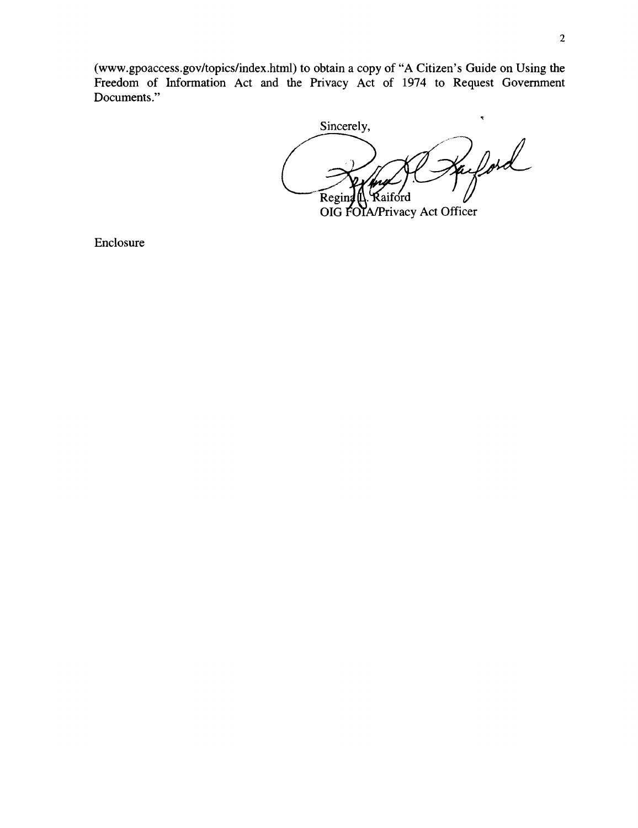(www.gpoaccess.gov/topics/index.html) to obtain a copy of "A Citizen's Guide on Using the Freedom of Information Act and the Privacy Act of 1974 to Request Government Documents."

 $\ddot{\phantom{0}}$ Sincerely, afford  $\widehat{\text{Regind}}$ Raiford

OIG FOIA/Privacy Act Officer

Enclosure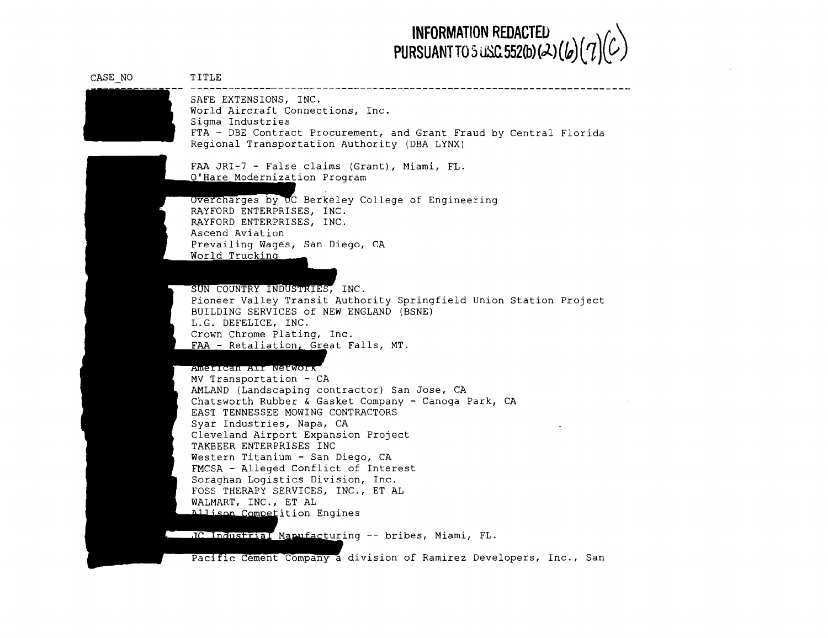### **INFORMATION REDACTED**  $\left( \frac{1}{2} \right)$ PURSUANT TO 5 USC 552(b)( $\lambda$ )( $\iota$ )( $\iota$ )

| CASE NO | TITLE                                                                                                                                                                                               |
|---------|-----------------------------------------------------------------------------------------------------------------------------------------------------------------------------------------------------|
|         | SAFE EXTENSIONS, INC.<br>World Aircraft Connections, Inc.<br>Sigma Industries<br>FTA - DBE Contract Procurement, and Grant Fraud by Central Florida<br>Regional Transportation Authority (DBA LYNX) |
|         | FAA JRI-7 - False claims (Grant), Miami, FL.<br>O'Hare Modernization Program                                                                                                                        |
|         | Overcharges by UC Berkeley College of Engineering<br>RAYFORD ENTERPRISES, INC.<br>RAYFORD ENTERPRISES, INC.<br>Ascend Aviation                                                                      |
|         | Prevailing Wages, San Diego, CA<br>World Trucking                                                                                                                                                   |
|         | SUN COUNTRY INDUSTRIES, INC.<br>Pioneer Valley Transit Authority Springfield Union Station Project<br>BUILDING SERVICES of NEW ENGLAND (BSNE)<br>L.G. DEFELICE, INC.                                |
|         | Crown Chrome Plating, Inc.<br>FAA - Retaliation, Great Falls, MT.                                                                                                                                   |
|         | American Ali Network<br>MV Transportation - CA                                                                                                                                                      |
|         | AMLAND (Landscaping contractor) San Jose, CA<br>Chatsworth Rubber & Gasket Company - Canoga Park, CA<br>EAST TENNESSEE MOWING CONTRACTORS<br>Syar Industries, Napa, CA                              |
|         | Cleveland Airport Expansion Project<br>TAKBEER ENTERPRISES INC                                                                                                                                      |
|         | Western Titanium - San Diego, CA<br>FMCSA - Alleged Conflict of Interest                                                                                                                            |
|         | Soraghan Logistics Division, Inc.<br>FOSS THERAPY SERVICES, INC., ET AL                                                                                                                             |
|         | WALMART, INC., ET AL<br>Allison Competition Engines                                                                                                                                                 |
|         | JC Industrial Mapufacturing -- bribes, Miami, FL.                                                                                                                                                   |

Pacific Cement Company a division of Ramirez Developers, Inc., San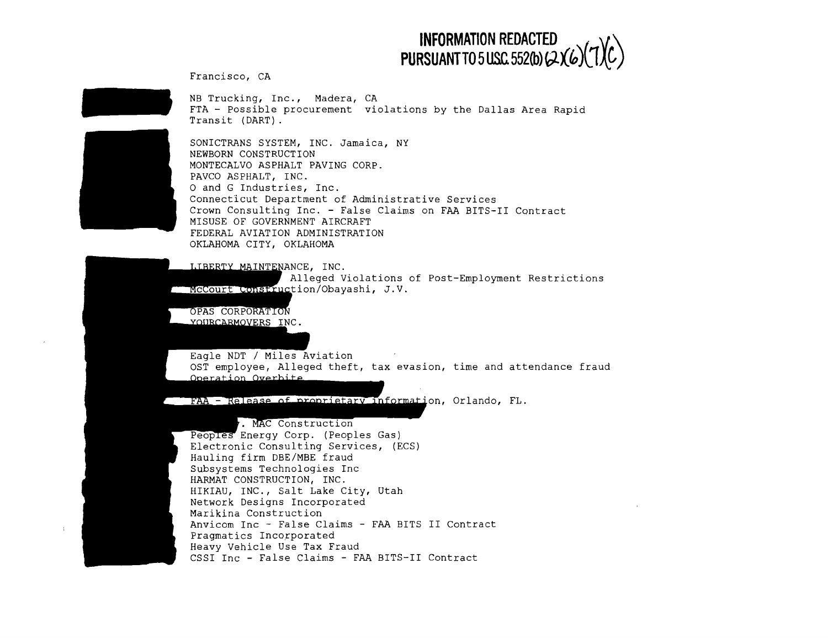

Francisco, CA

NB Trucking, Inc., Madera, CA FTA - Possible procurement violations by the Dallas Area Rapid Transit (DART).



SONICTRANS SYSTEM, INC. Jamaica, NY NEWBORN CONSTRUCTION MONTECALVO ASPHALT PAVING CORP. PAVCO ASPHALT, INC. o and G Industries, Inc. Connecticut Department of Administrative Services Crown Consulting Inc. - False Claims on FAA BITS-II Contract MISUSE OF GOVERNMENT AIRCRAFT FEDERAL AVIATION ADMINISTRATION OKLAHOMA CITY, OKLAHOMA

LIBERTY MAINTENANCE, INC. Alleged Violations of Post-Employment Restrictions McCourt Construction/Obayashi, J.V.

OPAS CORPORATION YOURCARMOVERS INC.

Eagle NDT / Miles Aviation OST employee, Alleqed theft, tax evasion, time and attendance fraud Operation Overbite

FAA - Release of proprietary Information, Orlando, FL.

### 7. MAC Construction

Peoples Energy Corp. (Peoples Gas) Electronic Consulting Services, (ECS) Hauling firm DBE/MBE fraud Subsystems Technologies Inc HARMAT CONSTRUCTION, INC. HIKIAU, INC., Salt Lake City, Utah Network Designs Incorporated Marikina Construction Anvicom Inc - False Claims - FAA BITS **II** Contract Pragmatics Incorporated Heavy Vehicle Use Tax Fraud CSSI Inc - False Claims - FAA BITS-II Contract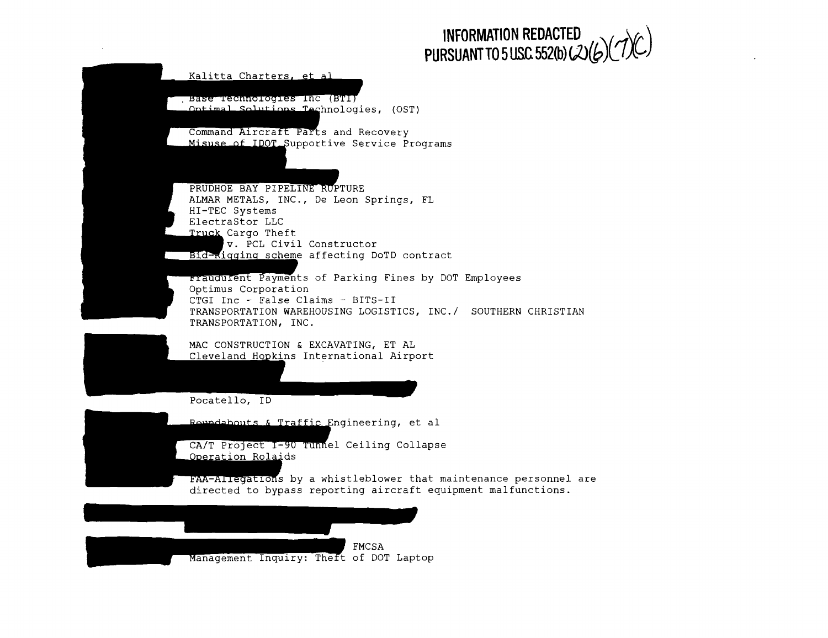

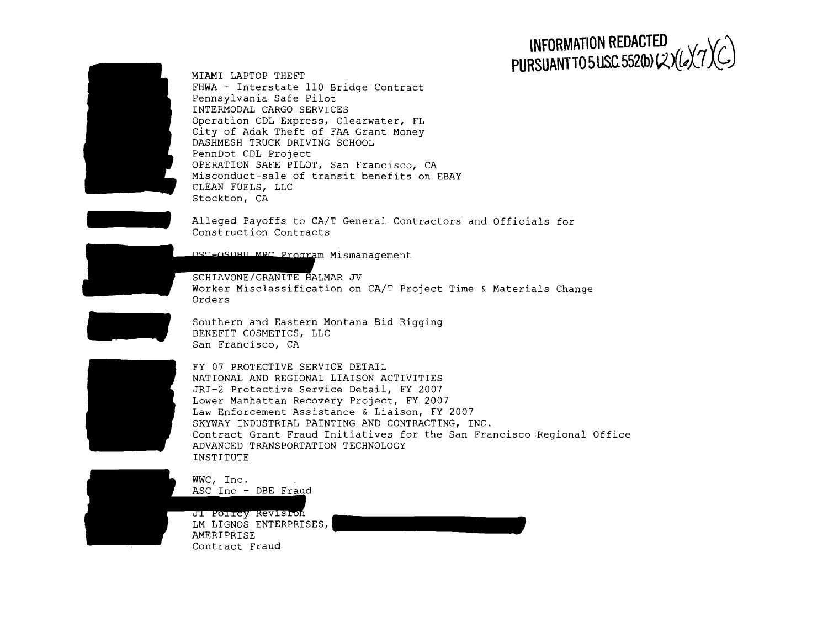## $\mathsf{INFORMATION REDACTER} \setminus \mathsf{V}\mathsf{C}\mathsf{V}\mathsf{C}$

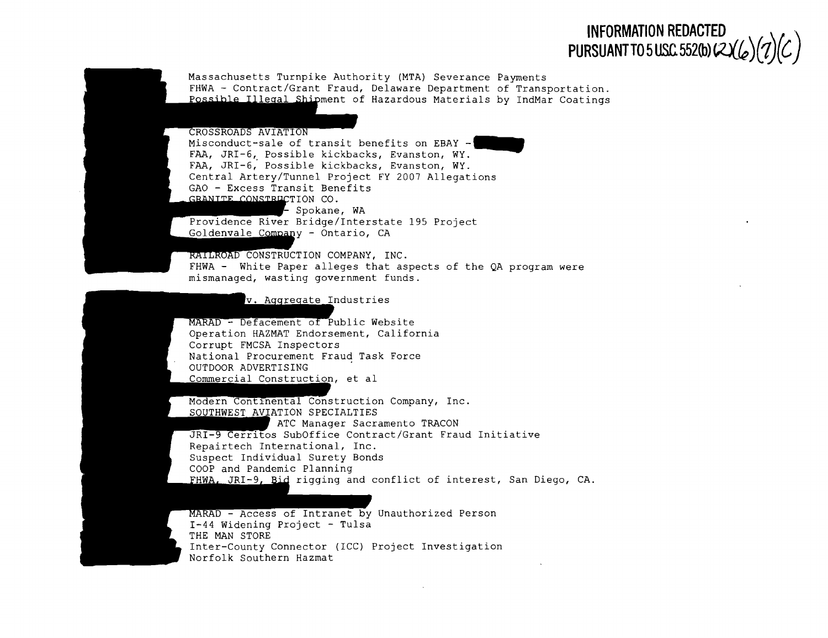

Massachusetts Turnpike Authority (MTA) Severance Payments FHWA - Contract/Grant Fraud, Delaware Department of Transportation. Possible Illeqal-ShiDment of Hazardous Materials by IndMar Coatings

#### CROSSROADS AVIATION

Misconduct-sale of transit benefits on EBAY **- ........** FAA, JRI-6, Possible kickbacks, Evanston, WY. FAA, JRI-6,' Possible kickbacks, Evanston, WY. Central Artery/Tunnel Project FY 2007 Allegations GAO - Excess Transit Benefits TION CO. Spokane, WA

Providence River Bridge/Interstate 195 Project y - Ontario, CA

 $RATLROAD$  CONSTRUCTION COMPANY, INC. FHWA - White Paper alleges that aspects of the QA program were mismanaged, wasting government funds.

#### v. Aggregate Industries

MARAD - Defacement of Public Website Operation HAZMAT Endorsement, California Corrupt FMCSA Inspectors National Procurement Fraud Task Force OUTDOOR ADVERTISING Commercial Construction, et al

Modern Continental Construction Company, Inc. SOUTHWEST AVIATION SPECIALTIES ATC Manager Sacramento TRACON JRI-9 Cerritos SubOffice Contract/Grant Fraud Initiative Repairtech International, Inc. Suspect Individual Surety Bonds COOP and Pandemic Planning FHWA, JRI-9, Bid rigging and conflict of interest, San Diego, CA.

MARAD - Access of Intranet by Unauthorized Person 1-44 Widening Project - Tulsa THE MAN STORE Inter-County Connector (ICC) Project Investigation Norfolk Southern Hazmat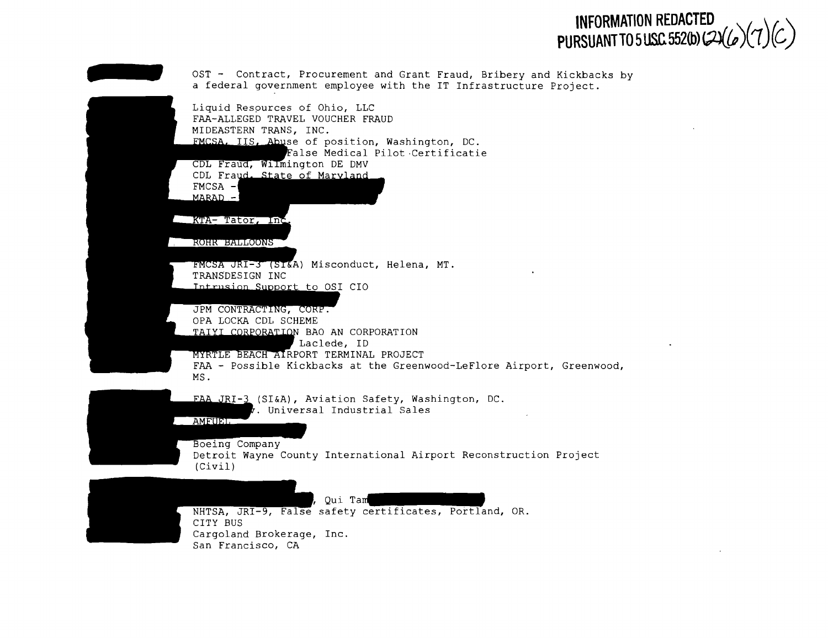# INFORMATION REDACTED<br>PURSUANT TO 5 USC 552(b) (2)(